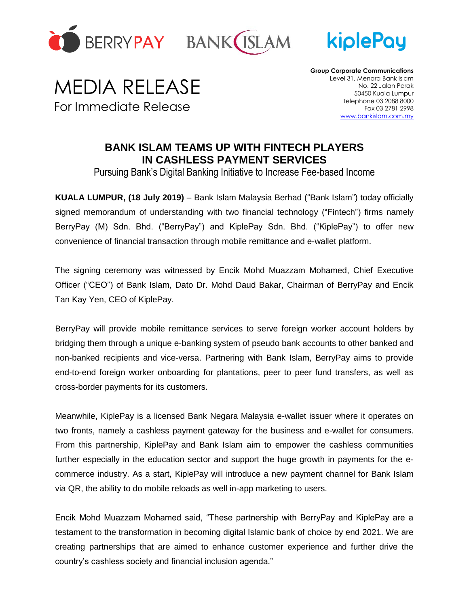





## MEDIA RELEASE For Immediate Release

**Group Corporate Communications** Level 31, Menara Bank Islam No. 22 Jalan Perak 50450 Kuala Lumpur Telephone 03 2088 8000 Fax 03 2781 2998 [www.bankislam.com.my](http://www.bankislam.com.my/)

## **BANK ISLAM TEAMS UP WITH FINTECH PLAYERS IN CASHLESS PAYMENT SERVICES**

Pursuing Bank's Digital Banking Initiative to Increase Fee-based Income

**KUALA LUMPUR, (18 July 2019)** – Bank Islam Malaysia Berhad ("Bank Islam") today officially signed memorandum of understanding with two financial technology ("Fintech") firms namely BerryPay (M) Sdn. Bhd. ("BerryPay") and KiplePay Sdn. Bhd. ("KiplePay") to offer new convenience of financial transaction through mobile remittance and e-wallet platform.

The signing ceremony was witnessed by Encik Mohd Muazzam Mohamed, Chief Executive Officer ("CEO") of Bank Islam, Dato Dr. Mohd Daud Bakar, Chairman of BerryPay and Encik Tan Kay Yen, CEO of KiplePay.

BerryPay will provide mobile remittance services to serve foreign worker account holders by bridging them through a unique e-banking system of pseudo bank accounts to other banked and non-banked recipients and vice-versa. Partnering with Bank Islam, BerryPay aims to provide end-to-end foreign worker onboarding for plantations, peer to peer fund transfers, as well as cross-border payments for its customers.

Meanwhile, KiplePay is a licensed Bank Negara Malaysia e-wallet issuer where it operates on two fronts, namely a cashless payment gateway for the business and e-wallet for consumers. From this partnership, KiplePay and Bank Islam aim to empower the cashless communities further especially in the education sector and support the huge growth in payments for the ecommerce industry. As a start, KiplePay will introduce a new payment channel for Bank Islam via QR, the ability to do mobile reloads as well in-app marketing to users.

Encik Mohd Muazzam Mohamed said, "These partnership with BerryPay and KiplePay are a testament to the transformation in becoming digital Islamic bank of choice by end 2021. We are creating partnerships that are aimed to enhance customer experience and further drive the country's cashless society and financial inclusion agenda."